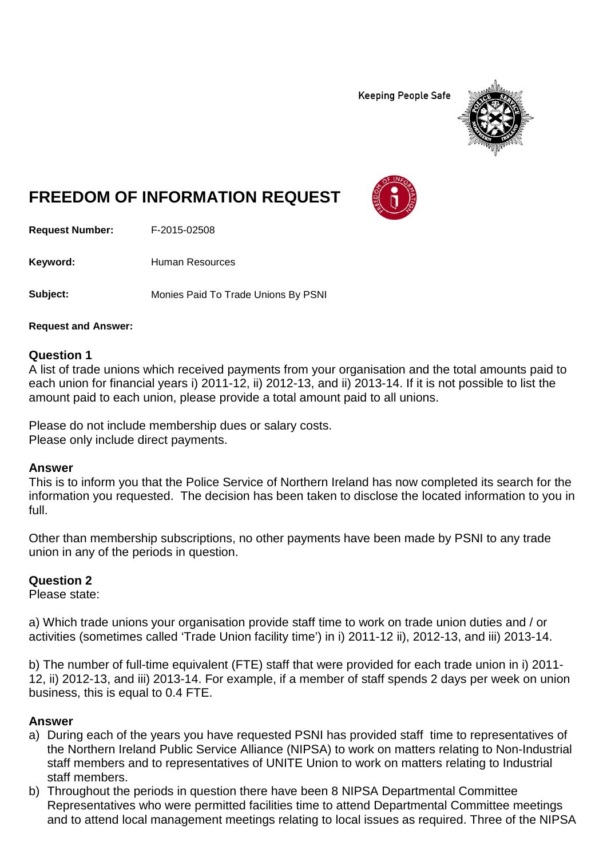**Keeping People Safe** 



# **FREEDOM OF INFORMATION REQUEST**

**Request Number:** F-2015-02508

Keyword: Human Resources

**Subject:** Monies Paid To Trade Unions By PSNI

**Request and Answer:**

#### **Question 1**

A list of trade unions which received payments from your organisation and the total amounts paid to each union for financial years i) 2011-12, ii) 2012-13, and ii) 2013-14. If it is not possible to list the amount paid to each union, please provide a total amount paid to all unions.

Please do not include membership dues or salary costs. Please only include direct payments.

#### **Answer**

This is to inform you that the Police Service of Northern Ireland has now completed its search for the information you requested. The decision has been taken to disclose the located information to you in full.

Other than membership subscriptions, no other payments have been made by PSNI to any trade union in any of the periods in question.

#### **Question 2**

Please state:

a) Which trade unions your organisation provide staff time to work on trade union duties and / or activities (sometimes called 'Trade Union facility time') in i) 2011-12 ii), 2012-13, and iii) 2013-14.

b) The number of full-time equivalent (FTE) staff that were provided for each trade union in i) 2011- 12, ii) 2012-13, and iii) 2013-14. For example, if a member of staff spends 2 days per week on union business, this is equal to 0.4 FTE.

#### **Answer**

- a) During each of the years you have requested PSNI has provided staff time to representatives of the Northern Ireland Public Service Alliance (NIPSA) to work on matters relating to Non-Industrial staff members and to representatives of UNITE Union to work on matters relating to Industrial staff members.
- b) Throughout the periods in question there have been 8 NIPSA Departmental Committee Representatives who were permitted facilities time to attend Departmental Committee meetings and to attend local management meetings relating to local issues as required. Three of the NIPSA